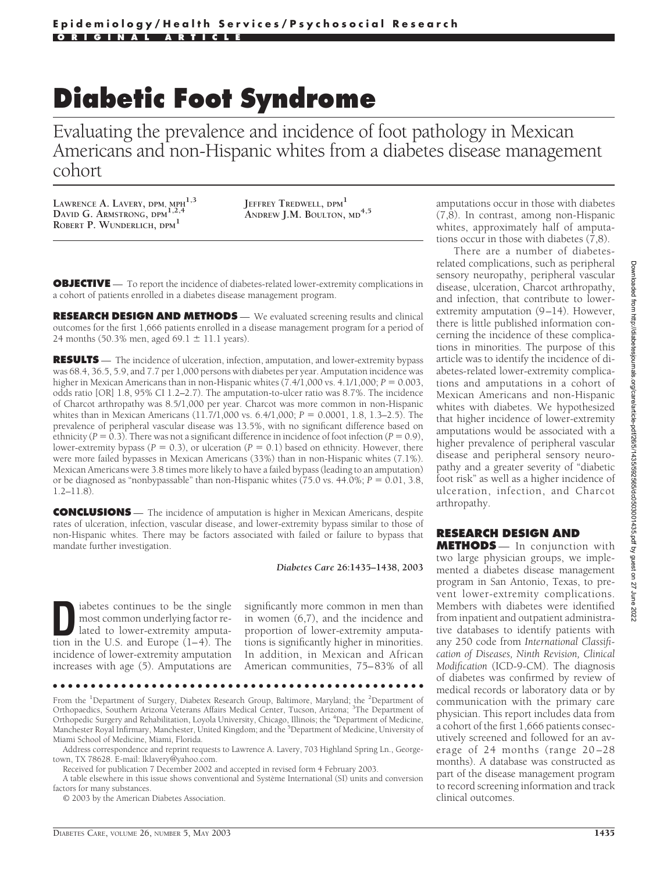## **Diabetic Foot Syndrome**

Evaluating the prevalence and incidence of foot pathology in Mexican Americans and non-Hispanic whites from a diabetes disease management cohort

**LAWRENCE A. LAVERY, DPM, MPH1,3 DAVID G. ARMSTRONG, DPM1,2,4 ROBERT P. WUNDERLICH, DPM<sup>1</sup>**

**JEFFREY TREDWELL, DPM<sup>1</sup> ANDREW J.M. BOULTON, MD4,5**

**OBJECTIVE** — To report the incidence of diabetes-related lower-extremity complications in a cohort of patients enrolled in a diabetes disease management program.

**RESEARCH DESIGN AND METHODS** — We evaluated screening results and clinical outcomes for the first 1,666 patients enrolled in a disease management program for a period of 24 months (50.3% men, aged 69.1  $\pm$  11.1 years).

**RESULTS** — The incidence of ulceration, infection, amputation, and lower-extremity bypass was 68.4, 36.5, 5.9, and 7.7 per 1,000 persons with diabetes per year. Amputation incidence was higher in Mexican Americans than in non-Hispanic whites  $(7.4/1,000 \text{ vs. } 4.1/1,000; P = 0.003,$ odds ratio [OR] 1.8, 95% CI 1.2–2.7). The amputation-to-ulcer ratio was 8.7%. The incidence of Charcot arthropathy was 8.5/1,000 per year. Charcot was more common in non-Hispanic whites than in Mexican Americans (11.7/1,000 vs. 6.4/1,000; *P* = 0.0001, 1.8, 1.3–2.5). The prevalence of peripheral vascular disease was 13.5%, with no significant difference based on ethnicity ( $P = 0.3$ ). There was not a significant difference in incidence of foot infection ( $P = 0.9$ ), lower-extremity bypass ( $P = 0.3$ ), or ulceration ( $P = 0.1$ ) based on ethnicity. However, there were more failed bypasses in Mexican Americans (33%) than in non-Hispanic whites (7.1%). Mexican Americans were 3.8 times more likely to have a failed bypass (leading to an amputation) or be diagnosed as "nonbypassable" than non-Hispanic whites (75.0 vs. 44.0%;  $P = 0.01, 3.8$ , 1.2–11.8).

**CONCLUSIONS** — The incidence of amputation is higher in Mexican Americans, despite rates of ulceration, infection, vascular disease, and lower-extremity bypass similar to those of non-Hispanic whites. There may be factors associated with failed or failure to bypass that mandate further investigation.

*Diabetes Care* **26:1435–1438, 2003**

**D**iabetes continues to be the single<br>
most common underlying factor re-<br>
lated to lower-extremity amputa-<br>
tion in the U.S. and Furone (1–4) The most common underlying factor retion in the U.S. and Europe (1–4). The incidence of lower-extremity amputation increases with age (5). Amputations are significantly more common in men than in women (6,7), and the incidence and proportion of lower-extremity amputations is significantly higher in minorities. In addition, in Mexican and African American communities, 75–83% of all

●●●●●●●●●●●●●●●●●●●●●●●●●●●●●●●●●●●●●●●●●●●●●●●●●

From the <sup>1</sup>Department of Surgery, Diabetex Research Group, Baltimore, Maryland; the <sup>2</sup>Department of Orthopaedics, Southern Arizona Veterans Affairs Medical Center, Tucson, Arizona; <sup>3</sup>The Department of Orthopedic Surgery and Rehabilitation, Loyola University, Chicago, Illinois; the <sup>4</sup>Department of Medicine, Manchester Royal Infirmary, Manchester, United Kingdom; and the <sup>5</sup> Department of Medicine, University of Miami School of Medicine, Miami, Florida.

Address correspondence and reprint requests to Lawrence A. Lavery, 703 Highland Spring Ln., Georgetown, TX 78628. E-mail: lklavery@yahoo.com.

Received for publication 7 December 2002 and accepted in revised form 4 February 2003.

A table elsewhere in this issue shows conventional and Système International (SI) units and conversion factors for many substances.

© 2003 by the American Diabetes Association.

amputations occur in those with diabetes (7,8). In contrast, among non-Hispanic whites, approximately half of amputations occur in those with diabetes (7,8).

There are a number of diabetesrelated complications, such as peripheral sensory neuropathy, peripheral vascular disease, ulceration, Charcot arthropathy, and infection, that contribute to lowerextremity amputation (9–14). However, there is little published information concerning the incidence of these complications in minorities. The purpose of this article was to identify the incidence of diabetes-related lower-extremity complications and amputations in a cohort of Mexican Americans and non-Hispanic whites with diabetes. We hypothesized that higher incidence of lower-extremity amputations would be associated with a higher prevalence of peripheral vascular disease and peripheral sensory neuropathy and a greater severity of "diabetic foot risk" as well as a higher incidence of ulceration, infection, and Charcot arthropathy.

## **RESEARCH DESIGN AND**

**METHODS** — In conjunction with two large physician groups, we implemented a diabetes disease management program in San Antonio, Texas, to prevent lower-extremity complications. Members with diabetes were identified from inpatient and outpatient administrative databases to identify patients with any 250 code from *International Classification of Diseases, Ninth Revision, Clinical Modification* (ICD-9-CM). The diagnosis of diabetes was confirmed by review of medical records or laboratory data or by communication with the primary care physician. This report includes data from a cohort of the first 1,666 patients consecutively screened and followed for an average of 24 months (range 20–28 months). A database was constructed as part of the disease management program to record screening information and track clinical outcomes.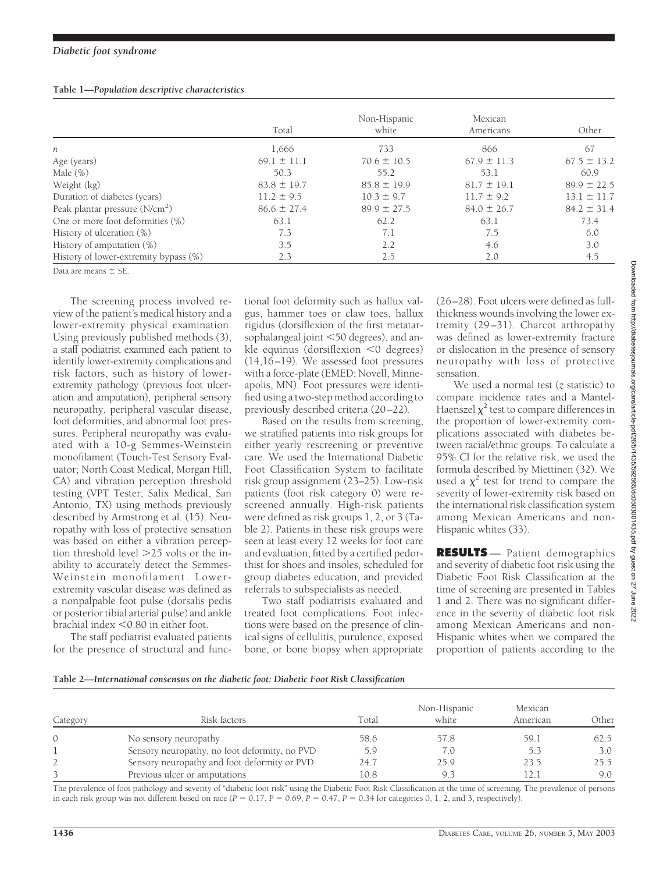## **Table 1—***Population descriptive characteristics*

|                                            | Total           | Non-Hispanic<br>white | Mexican<br>Americans | Other           |
|--------------------------------------------|-----------------|-----------------------|----------------------|-----------------|
| n                                          | 1,666           | 733                   | 866                  | 67              |
| Age (years)                                | $69.1 \pm 11.1$ | $70.6 \pm 10.5$       | $67.9 \pm 11.3$      | $67.5 \pm 13.2$ |
| Male $(\%)$                                | 50.3            | 55.2                  | 53.1                 | 60.9            |
| Weight (kg)                                | $83.8 \pm 19.7$ | $85.8 \pm 19.9$       | $81.7 \pm 19.1$      | $89.9 \pm 22.5$ |
| Duration of diabetes (years)               | $11.2 \pm 9.5$  | $10.3 \pm 9.7$        | $11.7 \pm 9.2$       | $13.1 \pm 11.7$ |
| Peak plantar pressure (N/cm <sup>2</sup> ) | $86.6 \pm 27.4$ | $89.9 \pm 27.5$       | $84.0 \pm 26.7$      | $84.2 \pm 31.4$ |
| One or more foot deformities (%)           | 63.1            | 62.2                  | 63.1                 | 73.4            |
| History of ulceration (%)                  | 7.3             | 7.1                   | 7.5                  | 6.0             |
| History of amputation $(\%)$               | 3.5             | 2.2                   | 4.6                  | 3.0             |
| History of lower-extremity bypass (%)      | 2.3             | 2.5                   | 2.0                  | 4.5             |

Data are means  $\pm$  SE.

The screening process involved review of the patient's medical history and a lower-extremity physical examination. Using previously published methods (3), a staff podiatrist examined each patient to identify lower-extremity complications and risk factors, such as history of lowerextremity pathology (previous foot ulceration and amputation), peripheral sensory neuropathy, peripheral vascular disease, foot deformities, and abnormal foot pressures. Peripheral neuropathy was evaluated with a 10-g Semmes-Weinstein monofilament (Touch-Test Sensory Evaluator; North Coast Medical, Morgan Hill, CA) and vibration perception threshold testing (VPT Tester; Salix Medical, San Antonio, TX) using methods previously described by Armstrong et al. (15). Neuropathy with loss of protective sensation was based on either a vibration perception threshold level  $>25$  volts or the inability to accurately detect the Semmes-Weinstein monofilament. Lowerextremity vascular disease was defined as a nonpalpable foot pulse (dorsalis pedis or posterior tibial arterial pulse) and ankle brachial index  $< 0.80$  in either foot.

The staff podiatrist evaluated patients for the presence of structural and functional foot deformity such as hallux valgus, hammer toes or claw toes, hallux rigidus (dorsiflexion of the first metatarsophalangeal joint <50 degrees), and ankle equinus (dorsiflexion  $\leq 0$  degrees) (14,16–19). We assessed foot pressures with a force-plate (EMED; Novell, Minneapolis, MN). Foot pressures were identified using a two-step method according to previously described criteria (20–22).

Based on the results from screening, we stratified patients into risk groups for either yearly rescreening or preventive care. We used the International Diabetic Foot Classification System to facilitate risk group assignment (23–25). Low-risk patients (foot risk category 0) were rescreened annually. High-risk patients were defined as risk groups 1, 2, or 3 (Table 2). Patients in these risk groups were seen at least every 12 weeks for foot care and evaluation, fitted by a certified pedorthist for shoes and insoles, scheduled for group diabetes education, and provided referrals to subspecialists as needed.

Two staff podiatrists evaluated and treated foot complications. Foot infections were based on the presence of clinical signs of cellulitis, purulence, exposed bone, or bone biopsy when appropriate

(26–28). Foot ulcers were defined as fullthickness wounds involving the lower extremity (29 –31). Charcot arthropathy was defined as lower-extremity fracture or dislocation in the presence of sensory neuropathy with loss of protective sensation.

We used a normal test (*z* statistic) to compare incidence rates and a Mantel-Haenszel  $\chi^2$  test to compare differences in the proportion of lower-extremity complications associated with diabetes between racial/ethnic groups. To calculate a 95% CI for the relative risk, we used the formula described by Miettinen (32). We used a  $\chi^2$  test for trend to compare the severity of lower-extremity risk based on the international risk classification system among Mexican Americans and non-Hispanic whites (33).

**RESULTS** — Patient demographics and severity of diabetic foot risk using the Diabetic Foot Risk Classification at the time of screening are presented in Tables 1 and 2. There was no significant difference in the severity of diabetic foot risk among Mexican Americans and non-Hispanic whites when we compared the proportion of patients according to the

| Table 2-International consensus on the diabetic foot: Diabetic Foot Risk Classification |  |  |  |
|-----------------------------------------------------------------------------------------|--|--|--|
|                                                                                         |  |  |  |

| Category | Risk factors                                  | Total | Non-Hispanic<br>white | Mexican<br>American | Other |
|----------|-----------------------------------------------|-------|-----------------------|---------------------|-------|
|          | No sensory neuropathy                         | 58.6  | 57.8                  | 59.1                | 62.5  |
|          | Sensory neuropathy, no foot deformity, no PVD | 5.9   | 7.0                   | 5.3                 | 3.0   |
|          | Sensory neuropathy and foot deformity or PVD  | 24.7  | 25.9                  | 23.5                | 25.5  |
|          | Previous ulcer or amputations                 | 10.8  | Q 3                   |                     | 9.0   |

The prevalence of foot pathology and severity of "diabetic foot risk" using the Diabetic Foot Risk Classification at the time of screening. The prevalence of persons in each risk group was not different based on race  $(P = 0.17, P = 0.69, P = 0.47, P = 0.34$  for categories 0, 1, 2, and 3, respectively).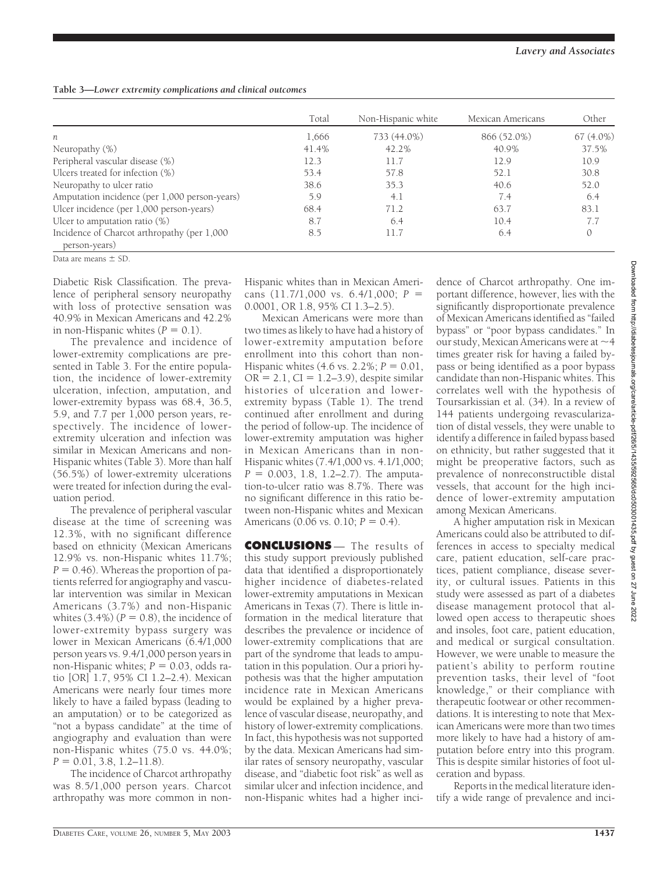| Table 3-Lower extremity complications and clinical outcomes |
|-------------------------------------------------------------|
|-------------------------------------------------------------|

|                                                              | Total | Non-Hispanic white | Mexican Americans | Other       |
|--------------------------------------------------------------|-------|--------------------|-------------------|-------------|
| n                                                            | 1,666 | 733 (44.0%)        | 866 (52.0%)       | $67(4.0\%)$ |
| Neuropathy $(\%)$                                            | 41.4% | 42.2%              | 40.9%             | 37.5%       |
| Peripheral vascular disease (%)                              | 12.3  | 11.7               | 12.9              | 10.9        |
| Ulcers treated for infection $(\%)$                          | 53.4  | 57.8               | 52.1              | 30.8        |
| Neuropathy to ulcer ratio                                    | 38.6  | 35.3               | 40.6              | 52.0        |
| Amputation incidence (per 1,000 person-years)                | 5.9   | 4.1                | 7.4               | 6.4         |
| Ulcer incidence (per 1,000 person-years)                     | 68.4  | 71.2               | 63.7              | 83.1        |
| Ulcer to amputation ratio $(\%)$                             | 8.7   | 6.4                | 10.4              | 7.7         |
| Incidence of Charcot arthropathy (per 1,000<br>person-years) | 8.5   | 11.7               | 6.4               |             |

Data are means  $+$  SD.

Diabetic Risk Classification. The prevalence of peripheral sensory neuropathy with loss of protective sensation was 40.9% in Mexican Americans and 42.2% in non-Hispanic whites  $(P = 0.1)$ .

The prevalence and incidence of lower-extremity complications are presented in Table 3. For the entire population, the incidence of lower-extremity ulceration, infection, amputation, and lower-extremity bypass was 68.4, 36.5, 5.9, and 7.7 per 1,000 person years, respectively. The incidence of lowerextremity ulceration and infection was similar in Mexican Americans and non-Hispanic whites (Table 3). More than half (56.5%) of lower-extremity ulcerations were treated for infection during the evaluation period.

The prevalence of peripheral vascular disease at the time of screening was 12.3%, with no significant difference based on ethnicity (Mexican Americans 12.9% vs. non-Hispanic whites 11.7%;  $P = 0.46$ ). Whereas the proportion of patients referred for angiography and vascular intervention was similar in Mexican Americans (3.7%) and non-Hispanic whites  $(3.4\%)$  ( $P = 0.8$ ), the incidence of lower-extremity bypass surgery was lower in Mexican Americans (6.4/1,000 person years vs. 9.4/1,000 person years in non-Hispanic whites;  $P = 0.03$ , odds ratio [OR] 1.7, 95% CI 1.2–2.4). Mexican Americans were nearly four times more likely to have a failed bypass (leading to an amputation) or to be categorized as "not a bypass candidate" at the time of angiography and evaluation than were non-Hispanic whites (75.0 vs. 44.0%;  $P = 0.01, 3.8, 1.2 - 11.8$ .

The incidence of Charcot arthropathy was 8.5/1,000 person years. Charcot arthropathy was more common in nonHispanic whites than in Mexican Americans (11.7/1,000 vs. 6.4/1,000; *P* - 0.0001, OR 1.8, 95% CI 1.3–2.5).

Mexican Americans were more than two times as likely to have had a history of lower-extremity amputation before enrollment into this cohort than non-Hispanic whites  $(4.6 \text{ vs. } 2.2\%; P = 0.01,$  $OR = 2.1$ ,  $CI = 1.2 - 3.9$ ), despite similar histories of ulceration and lowerextremity bypass (Table 1). The trend continued after enrollment and during the period of follow-up. The incidence of lower-extremity amputation was higher in Mexican Americans than in non-Hispanic whites (7.4/1,000 vs. 4.1/1,000; *P* = 0.003, 1.8, 1.2–2.7). The amputation-to-ulcer ratio was 8.7%. There was no significant difference in this ratio between non-Hispanic whites and Mexican Americans (0.06 vs. 0.10;  $P = 0.4$ ).

**CONCLUSIONS** — The results of this study support previously published data that identified a disproportionately higher incidence of diabetes-related lower-extremity amputations in Mexican Americans in Texas (7). There is little information in the medical literature that describes the prevalence or incidence of lower-extremity complications that are part of the syndrome that leads to amputation in this population. Our a priori hypothesis was that the higher amputation incidence rate in Mexican Americans would be explained by a higher prevalence of vascular disease, neuropathy, and history of lower-extremity complications. In fact, this hypothesis was not supported by the data. Mexican Americans had similar rates of sensory neuropathy, vascular disease, and "diabetic foot risk" as well as similar ulcer and infection incidence, and non-Hispanic whites had a higher inci-

dence of Charcot arthropathy. One important difference, however, lies with the significantly disproportionate prevalence of Mexican Americans identified as"failed bypass" or "poor bypass candidates." In our study, Mexican Americans were at  $\sim$  4 times greater risk for having a failed bypass or being identified as a poor bypass candidate than non-Hispanic whites. This correlates well with the hypothesis of Toursarkissian et al. (34). In a review of 144 patients undergoing revascularization of distal vessels, they were unable to identify a difference in failed bypass based on ethnicity, but rather suggested that it might be preoperative factors, such as prevalence of nonreconstructible distal vessels, that account for the high incidence of lower-extremity amputation among Mexican Americans.

A higher amputation risk in Mexican Americans could also be attributed to differences in access to specialty medical care, patient education, self-care practices, patient compliance, disease severity, or cultural issues. Patients in this study were assessed as part of a diabetes disease management protocol that allowed open access to therapeutic shoes and insoles, foot care, patient education, and medical or surgical consultation. However, we were unable to measure the patient's ability to perform routine prevention tasks, their level of "foot knowledge," or their compliance with therapeutic footwear or other recommendations. It is interesting to note that Mexican Americans were more than two times more likely to have had a history of amputation before entry into this program. This is despite similar histories of foot ulceration and bypass.

Reports in the medical literature identify a wide range of prevalence and inci